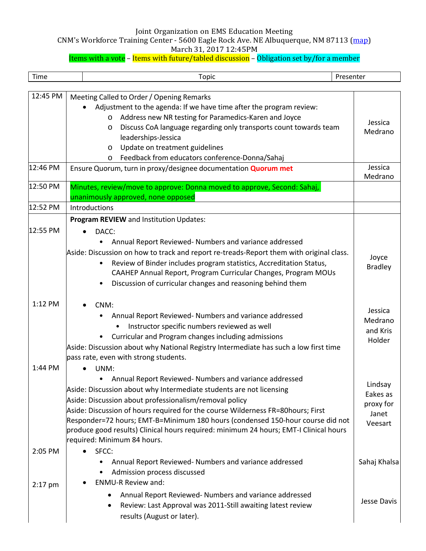### Joint Organization on EMS Education Meeting

CNM's Workforce Training Center - 5600 Eagle Rock Ave. NE Albuquerque, NM 87113 (map)

March 31, 2017 12:45PM

# Items with a vote – Items with future/tabled discussion – Obligation set by/for a member

| Time      | <b>Topic</b>                                                                                                                                                                                                                                                                                                                                                                                                                                                                                 | Presenter                                            |
|-----------|----------------------------------------------------------------------------------------------------------------------------------------------------------------------------------------------------------------------------------------------------------------------------------------------------------------------------------------------------------------------------------------------------------------------------------------------------------------------------------------------|------------------------------------------------------|
|           |                                                                                                                                                                                                                                                                                                                                                                                                                                                                                              |                                                      |
| 12:45 PM  | Meeting Called to Order / Opening Remarks<br>Adjustment to the agenda: If we have time after the program review:<br>Address new NR testing for Paramedics-Karen and Joyce<br>$\circ$<br>Discuss CoA language regarding only transports count towards team<br>O<br>leaderships-Jessica<br>Update on treatment guidelines<br>$\circ$<br>Feedback from educators conference-Donna/Sahaj<br>O                                                                                                    | Jessica<br>Medrano                                   |
| 12:46 PM  | Ensure Quorum, turn in proxy/designee documentation Quorum met                                                                                                                                                                                                                                                                                                                                                                                                                               | Jessica<br>Medrano                                   |
| 12:50 PM  | Minutes, review/move to approve: Donna moved to approve, Second: Sahaj,<br>unanimously approved, none opposed                                                                                                                                                                                                                                                                                                                                                                                |                                                      |
| 12:52 PM  | Introductions                                                                                                                                                                                                                                                                                                                                                                                                                                                                                |                                                      |
| 12:55 PM  | Program REVIEW and Institution Updates:<br>DACC:<br>Annual Report Reviewed- Numbers and variance addressed                                                                                                                                                                                                                                                                                                                                                                                   |                                                      |
|           | Aside: Discussion on how to track and report re-treads-Report them with original class.<br>Review of Binder includes program statistics, Accreditation Status,<br>CAAHEP Annual Report, Program Curricular Changes, Program MOUs<br>Discussion of curricular changes and reasoning behind them                                                                                                                                                                                               | Joyce<br><b>Bradley</b>                              |
| 1:12 PM   | CNM:<br>Annual Report Reviewed- Numbers and variance addressed<br>Instructor specific numbers reviewed as well<br>Curricular and Program changes including admissions<br>Aside: Discussion about why National Registry Intermediate has such a low first time<br>pass rate, even with strong students.                                                                                                                                                                                       | Jessica<br>Medrano<br>and Kris<br>Holder             |
| 1:44 PM   | UNM:<br>Annual Report Reviewed- Numbers and variance addressed<br>Aside: Discussion about why Intermediate students are not licensing<br>Aside: Discussion about professionalism/removal policy<br>Aside: Discussion of hours required for the course Wilderness FR=80hours; First<br>Responder=72 hours; EMT-B=Minimum 180 hours (condensed 150-hour course did not<br>produce good results) Clinical hours required: minimum 24 hours; EMT-I Clinical hours<br>required: Minimum 84 hours. | Lindsay<br>Eakes as<br>proxy for<br>Janet<br>Veesart |
| 2:05 PM   | SFCC:<br>Annual Report Reviewed- Numbers and variance addressed<br>Admission process discussed<br>$\bullet$<br><b>ENMU-R Review and:</b>                                                                                                                                                                                                                                                                                                                                                     | Sahaj Khalsa                                         |
| $2:17$ pm | Annual Report Reviewed- Numbers and variance addressed<br>Review: Last Approval was 2011-Still awaiting latest review<br>$\bullet$<br>results (August or later).                                                                                                                                                                                                                                                                                                                             | Jesse Davis                                          |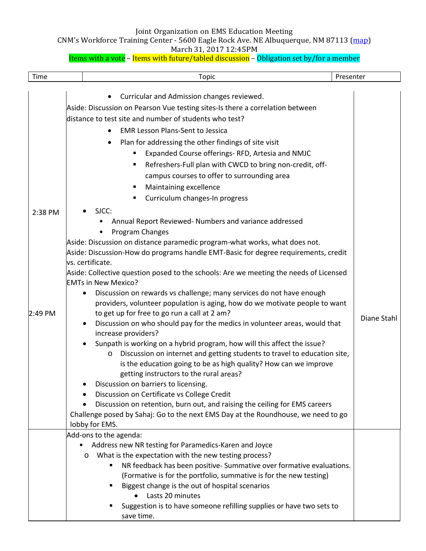### Joint Organization on EMS Education Meeting

CNM's Workforce Training Center - 5600 Eagle Rock Ave. NE Albuquerque, NM 87113 (map)

### March 31, 2017 12:45PM

# Items with a vote – Items with future/tabled discussion – Obligation set by/for a member

| Time                 |                                                                                                                                       | <b>Topic</b>                                                                                                                                                                                                                                                                                                                                                                                                                                                                                                                                                                                                                                                                                                                                                                                                                                                                                                                                                                                                                                                                                                                                                | Presenter |             |
|----------------------|---------------------------------------------------------------------------------------------------------------------------------------|-------------------------------------------------------------------------------------------------------------------------------------------------------------------------------------------------------------------------------------------------------------------------------------------------------------------------------------------------------------------------------------------------------------------------------------------------------------------------------------------------------------------------------------------------------------------------------------------------------------------------------------------------------------------------------------------------------------------------------------------------------------------------------------------------------------------------------------------------------------------------------------------------------------------------------------------------------------------------------------------------------------------------------------------------------------------------------------------------------------------------------------------------------------|-----------|-------------|
|                      | $\bullet$<br>$\bullet$                                                                                                                | Curricular and Admission changes reviewed.<br>Aside: Discussion on Pearson Vue testing sites-Is there a correlation between<br>distance to test site and number of students who test?<br><b>EMR Lesson Plans-Sent to Jessica</b><br>Plan for addressing the other findings of site visit<br>Expanded Course offerings-RFD, Artesia and NMJC                                                                                                                                                                                                                                                                                                                                                                                                                                                                                                                                                                                                                                                                                                                                                                                                                 |           |             |
|                      | ٠<br>٠                                                                                                                                | Refreshers-Full plan with CWCD to bring non-credit, off-<br>campus courses to offer to surrounding area<br>Maintaining excellence<br>Curriculum changes-In progress                                                                                                                                                                                                                                                                                                                                                                                                                                                                                                                                                                                                                                                                                                                                                                                                                                                                                                                                                                                         |           |             |
| 2:38 PM<br>$2:49$ PM | SJCC:<br>vs. certificate.<br><b>EMTs in New Mexico?</b><br>$\bullet$<br>increase providers?<br>$\circ$<br>$\bullet$<br>lobby for EMS. | Annual Report Reviewed- Numbers and variance addressed<br>Program Changes<br>Aside: Discussion on distance paramedic program-what works, what does not.<br>Aside: Discussion-How do programs handle EMT-Basic for degree requirements, credit<br>Aside: Collective question posed to the schools: Are we meeting the needs of Licensed<br>Discussion on rewards vs challenge; many services do not have enough<br>providers, volunteer population is aging, how do we motivate people to want<br>to get up for free to go run a call at 2 am?<br>Discussion on who should pay for the medics in volunteer areas, would that<br>Sunpath is working on a hybrid program, how will this affect the issue?<br>Discussion on internet and getting students to travel to education site,<br>is the education going to be as high quality? How can we improve<br>getting instructors to the rural areas?<br>Discussion on barriers to licensing.<br>Discussion on Certificate vs College Credit<br>Discussion on retention, burn out, and raising the ceiling for EMS careers<br>Challenge posed by Sahaj: Go to the next EMS Day at the Roundhouse, we need to go |           | Diane Stahl |
|                      | Add-ons to the agenda:<br>$\bullet$<br>O<br>٠<br>٠                                                                                    | Address new NR testing for Paramedics-Karen and Joyce<br>What is the expectation with the new testing process?<br>NR feedback has been positive-Summative over formative evaluations.<br>(Formative is for the portfolio, summative is for the new testing)<br>Biggest change is the out of hospital scenarios<br>Lasts 20 minutes<br>Suggestion is to have someone refilling supplies or have two sets to<br>save time.                                                                                                                                                                                                                                                                                                                                                                                                                                                                                                                                                                                                                                                                                                                                    |           |             |